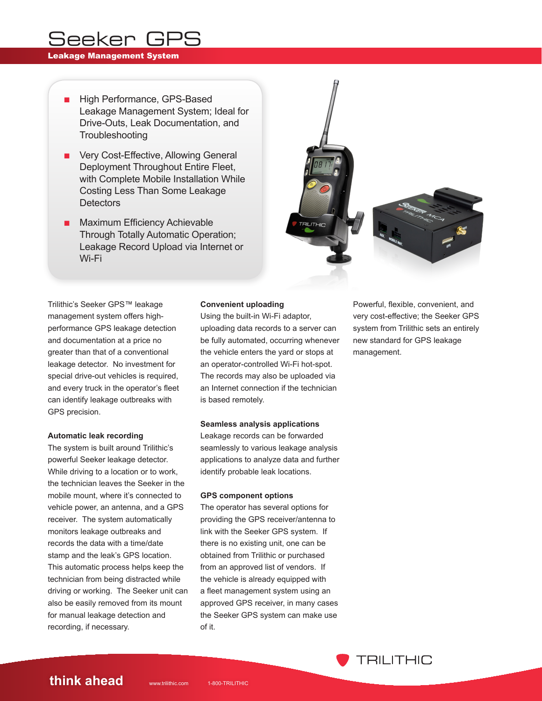# Seeker GPS

### Leakage Management System

- High Performance, GPS-Based Leakage Management System; Ideal for Drive-Outs, Leak Documentation, and **Troubleshooting**
- Very Cost-Effective, Allowing General Deployment Throughout Entire Fleet, with Complete Mobile Installation While Costing Less Than Some Leakage **Detectors**
- Maximum Efficiency Achievable Through Totally Automatic Operation; Leakage Record Upload via Internet or Wi-Fi





# Trilithic's Seeker GPS™ leakage management system offers highperformance GPS leakage detection and documentation at a price no greater than that of a conventional leakage detector. No investment for special drive-out vehicles is required, and every truck in the operator's fleet can identify leakage outbreaks with GPS precision.

### **Automatic leak recording**

The system is built around Trilithic's powerful Seeker leakage detector. While driving to a location or to work, the technician leaves the Seeker in the mobile mount, where it's connected to vehicle power, an antenna, and a GPS receiver. The system automatically monitors leakage outbreaks and records the data with a time/date stamp and the leak's GPS location. This automatic process helps keep the technician from being distracted while driving or working. The Seeker unit can also be easily removed from its mount for manual leakage detection and recording, if necessary.

## **Convenient uploading**

Using the built-in Wi-Fi adaptor, uploading data records to a server can be fully automated, occurring whenever the vehicle enters the yard or stops at an operator-controlled Wi-Fi hot-spot. The records may also be uploaded via an Internet connection if the technician is based remotely.

### **Seamless analysis applications**

Leakage records can be forwarded seamlessly to various leakage analysis applications to analyze data and further identify probable leak locations.

### **GPS component options**

The operator has several options for providing the GPS receiver/antenna to link with the Seeker GPS system. If there is no existing unit, one can be obtained from Trilithic or purchased from an approved list of vendors. If the vehicle is already equipped with a fleet management system using an approved GPS receiver, in many cases the Seeker GPS system can make use of it.

Powerful, flexible, convenient, and very cost-effective; the Seeker GPS system from Trilithic sets an entirely new standard for GPS leakage management.